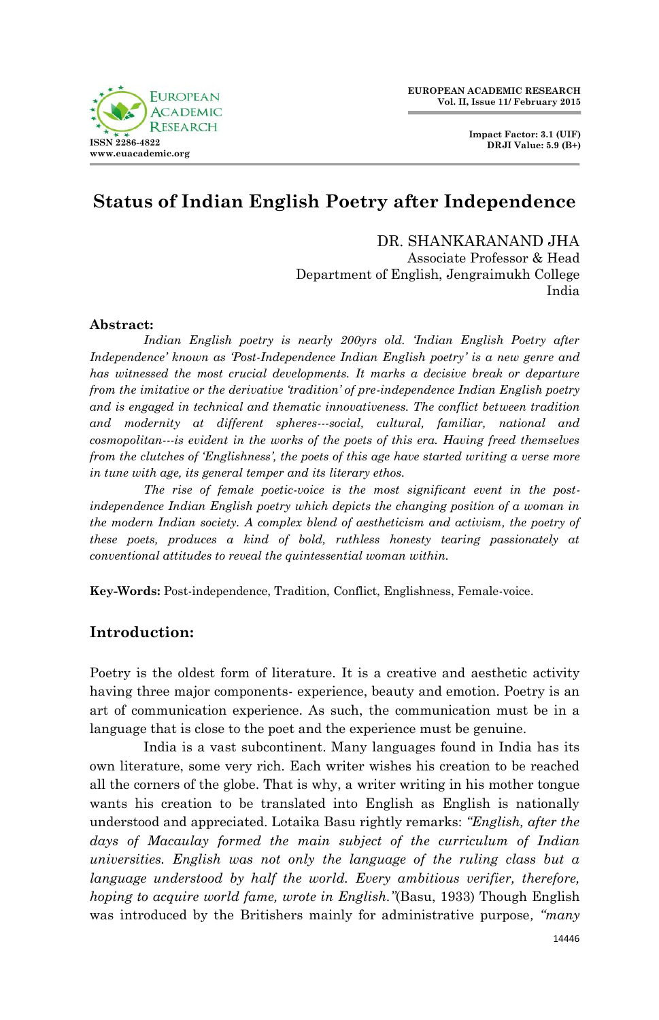

**Impact Factor: 3.1 (UIF) DRJI Value: 5.9 (B+)**

# **Status of Indian English Poetry after Independence**

DR. SHANKARANAND JHA Associate Professor & Head Department of English, Jengraimukh College India

### **Abstract:**

*Indian English poetry is nearly 200yrs old. "Indian English Poetry after Independence" known as "Post-Independence Indian English poetry" is a new genre and has witnessed the most crucial developments. It marks a decisive break or departure from the imitative or the derivative "tradition" of pre-independence Indian English poetry and is engaged in technical and thematic innovativeness. The conflict between tradition and modernity at different spheres---social, cultural, familiar, national and cosmopolitan---is evident in the works of the poets of this era. Having freed themselves from the clutches of "Englishness", the poets of this age have started writing a verse more in tune with age, its general temper and its literary ethos.*

*The rise of female poetic-voice is the most significant event in the postindependence Indian English poetry which depicts the changing position of a woman in the modern Indian society. A complex blend of aestheticism and activism, the poetry of these poets, produces a kind of bold, ruthless honesty tearing passionately at conventional attitudes to reveal the quintessential woman within.*

**Key-Words:** Post-independence, Tradition, Conflict, Englishness, Female-voice.

# **Introduction:**

Poetry is the oldest form of literature. It is a creative and aesthetic activity having three major components- experience, beauty and emotion. Poetry is an art of communication experience. As such, the communication must be in a language that is close to the poet and the experience must be genuine.

India is a vast subcontinent. Many languages found in India has its own literature, some very rich. Each writer wishes his creation to be reached all the corners of the globe. That is why, a writer writing in his mother tongue wants his creation to be translated into English as English is nationally understood and appreciated. Lotaika Basu rightly remarks: *"English, after the days of Macaulay formed the main subject of the curriculum of Indian universities. English was not only the language of the ruling class but a language understood by half the world. Every ambitious verifier, therefore, hoping to acquire world fame, wrote in English."*(Basu, 1933) Though English was introduced by the Britishers mainly for administrative purpose*, "many*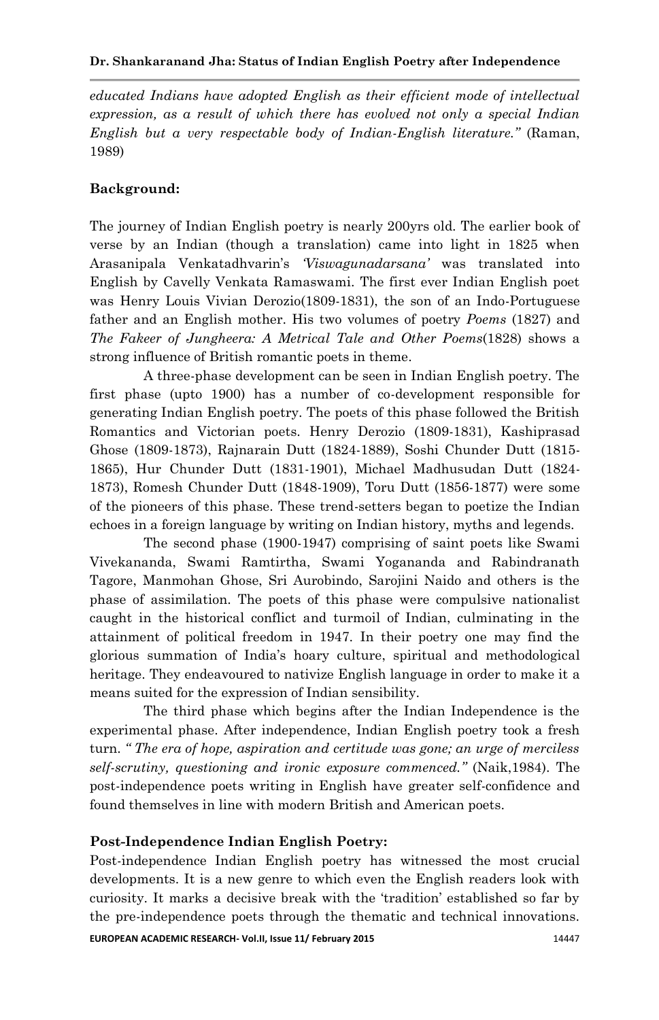*educated Indians have adopted English as their efficient mode of intellectual expression, as a result of which there has evolved not only a special Indian English but a very respectable body of Indian-English literature."* (Raman, 1989)

# **Background:**

The journey of Indian English poetry is nearly 200yrs old. The earlier book of verse by an Indian (though a translation) came into light in 1825 when Arasanipala Venkatadhvarin"s *"Viswagunadarsana"* was translated into English by Cavelly Venkata Ramaswami. The first ever Indian English poet was Henry Louis Vivian Derozio(1809-1831), the son of an Indo-Portuguese father and an English mother. His two volumes of poetry *Poems* (1827) and *The Fakeer of Jungheera: A Metrical Tale and Other Poems*(1828) shows a strong influence of British romantic poets in theme.

A three-phase development can be seen in Indian English poetry. The first phase (upto 1900) has a number of co-development responsible for generating Indian English poetry. The poets of this phase followed the British Romantics and Victorian poets. Henry Derozio (1809-1831), Kashiprasad Ghose (1809-1873), Rajnarain Dutt (1824-1889), Soshi Chunder Dutt (1815- 1865), Hur Chunder Dutt (1831-1901), Michael Madhusudan Dutt (1824- 1873), Romesh Chunder Dutt (1848-1909), Toru Dutt (1856-1877) were some of the pioneers of this phase. These trend-setters began to poetize the Indian echoes in a foreign language by writing on Indian history, myths and legends.

The second phase (1900-1947) comprising of saint poets like Swami Vivekananda, Swami Ramtirtha, Swami Yogananda and Rabindranath Tagore, Manmohan Ghose, Sri Aurobindo, Sarojini Naido and others is the phase of assimilation. The poets of this phase were compulsive nationalist caught in the historical conflict and turmoil of Indian, culminating in the attainment of political freedom in 1947. In their poetry one may find the glorious summation of India"s hoary culture, spiritual and methodological heritage. They endeavoured to nativize English language in order to make it a means suited for the expression of Indian sensibility.

The third phase which begins after the Indian Independence is the experimental phase. After independence, Indian English poetry took a fresh turn. *" The era of hope, aspiration and certitude was gone; an urge of merciless self-scrutiny, questioning and ironic exposure commenced."* (Naik,1984). The post-independence poets writing in English have greater self-confidence and found themselves in line with modern British and American poets.

# **Post-Independence Indian English Poetry:**

Post-independence Indian English poetry has witnessed the most crucial developments. It is a new genre to which even the English readers look with curiosity. It marks a decisive break with the "tradition" established so far by the pre-independence poets through the thematic and technical innovations.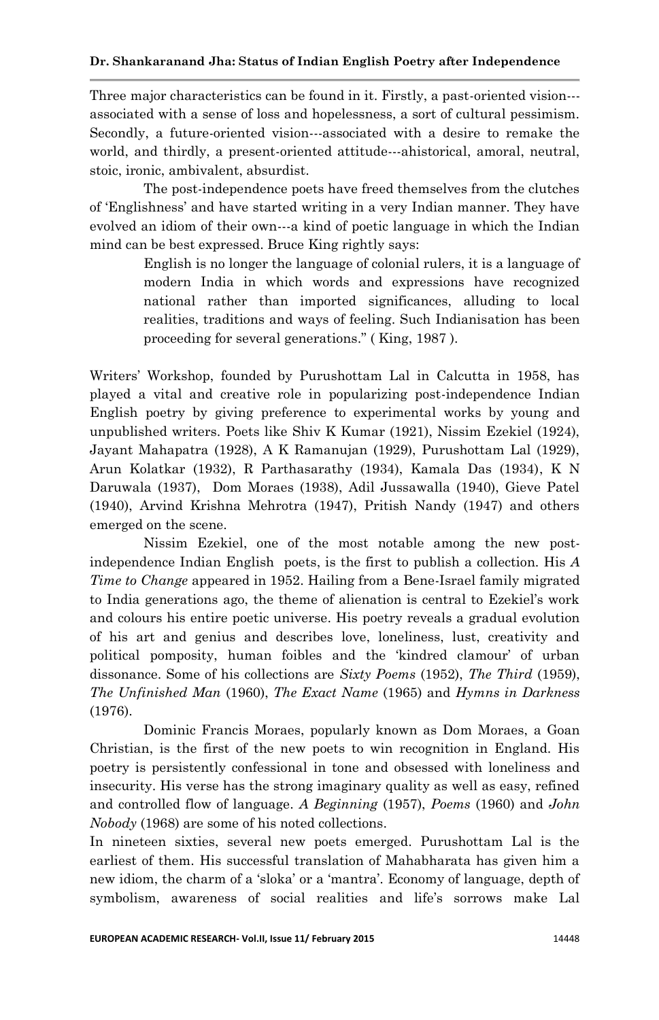Three major characteristics can be found in it. Firstly, a past-oriented vision-- associated with a sense of loss and hopelessness, a sort of cultural pessimism. Secondly, a future-oriented vision---associated with a desire to remake the world, and thirdly, a present-oriented attitude---ahistorical, amoral, neutral, stoic, ironic, ambivalent, absurdist.

The post-independence poets have freed themselves from the clutches of "Englishness" and have started writing in a very Indian manner. They have evolved an idiom of their own---a kind of poetic language in which the Indian mind can be best expressed. Bruce King rightly says:

> English is no longer the language of colonial rulers, it is a language of modern India in which words and expressions have recognized national rather than imported significances, alluding to local realities, traditions and ways of feeling. Such Indianisation has been proceeding for several generations." ( King, 1987 ).

Writers" Workshop, founded by Purushottam Lal in Calcutta in 1958, has played a vital and creative role in popularizing post-independence Indian English poetry by giving preference to experimental works by young and unpublished writers. Poets like Shiv K Kumar (1921), Nissim Ezekiel (1924), Jayant Mahapatra (1928), A K Ramanujan (1929), Purushottam Lal (1929), Arun Kolatkar (1932), R Parthasarathy (1934), Kamala Das (1934), K N Daruwala (1937), Dom Moraes (1938), Adil Jussawalla (1940), Gieve Patel (1940), Arvind Krishna Mehrotra (1947), Pritish Nandy (1947) and others emerged on the scene.

Nissim Ezekiel, one of the most notable among the new postindependence Indian English poets, is the first to publish a collection. His *A Time to Change* appeared in 1952. Hailing from a Bene-Israel family migrated to India generations ago, the theme of alienation is central to Ezekiel"s work and colours his entire poetic universe. His poetry reveals a gradual evolution of his art and genius and describes love, loneliness, lust, creativity and political pomposity, human foibles and the "kindred clamour" of urban dissonance. Some of his collections are *Sixty Poems* (1952), *The Third* (1959), *The Unfinished Man* (1960), *The Exact Name* (1965) and *Hymns in Darkness* (1976).

Dominic Francis Moraes, popularly known as Dom Moraes, a Goan Christian, is the first of the new poets to win recognition in England. His poetry is persistently confessional in tone and obsessed with loneliness and insecurity. His verse has the strong imaginary quality as well as easy, refined and controlled flow of language. *A Beginning* (1957), *Poems* (1960) and *John Nobody* (1968) are some of his noted collections.

In nineteen sixties, several new poets emerged. Purushottam Lal is the earliest of them. His successful translation of Mahabharata has given him a new idiom, the charm of a "sloka" or a "mantra". Economy of language, depth of symbolism, awareness of social realities and life's sorrows make Lal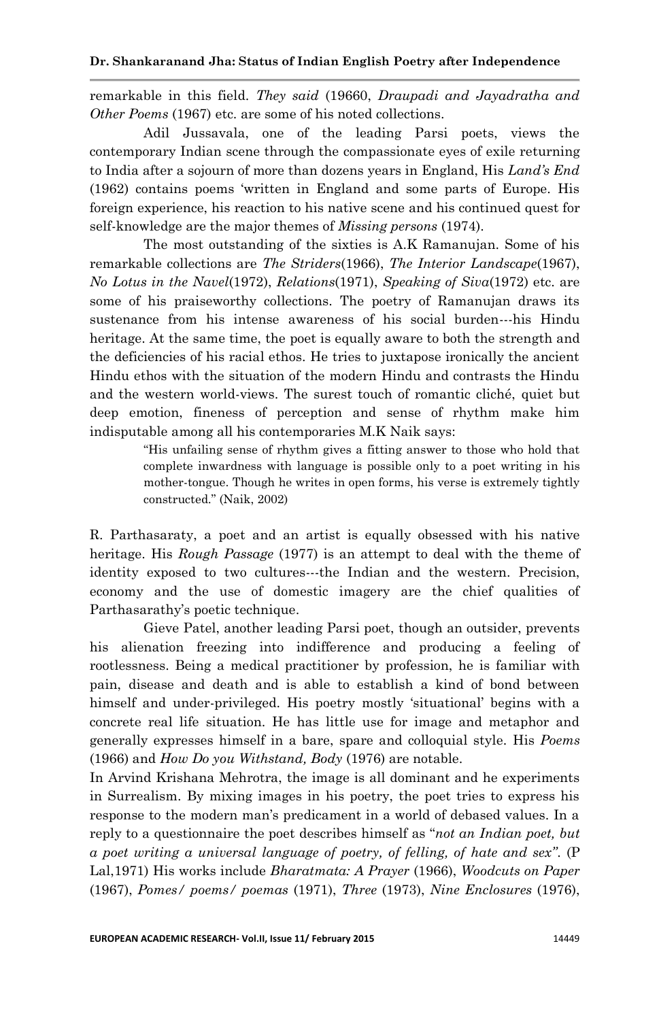remarkable in this field. *They said* (19660, *Draupadi and Jayadratha and Other Poems* (1967) etc. are some of his noted collections.

Adil Jussavala, one of the leading Parsi poets, views the contemporary Indian scene through the compassionate eyes of exile returning to India after a sojourn of more than dozens years in England, His *Land"s End* (1962) contains poems "written in England and some parts of Europe. His foreign experience, his reaction to his native scene and his continued quest for self-knowledge are the major themes of *Missing persons* (1974).

The most outstanding of the sixties is A.K Ramanujan. Some of his remarkable collections are *The Striders*(1966), *The Interior Landscape*(1967), *No Lotus in the Navel*(1972), *Relations*(1971), *Speaking of Siva*(1972) etc. are some of his praiseworthy collections. The poetry of Ramanujan draws its sustenance from his intense awareness of his social burden---his Hindu heritage. At the same time, the poet is equally aware to both the strength and the deficiencies of his racial ethos. He tries to juxtapose ironically the ancient Hindu ethos with the situation of the modern Hindu and contrasts the Hindu and the western world-views. The surest touch of romantic cliché, quiet but deep emotion, fineness of perception and sense of rhythm make him indisputable among all his contemporaries M.K Naik says:

> "His unfailing sense of rhythm gives a fitting answer to those who hold that complete inwardness with language is possible only to a poet writing in his mother-tongue. Though he writes in open forms, his verse is extremely tightly constructed." (Naik, 2002)

R. Parthasaraty, a poet and an artist is equally obsessed with his native heritage. His *Rough Passage* (1977) is an attempt to deal with the theme of identity exposed to two cultures---the Indian and the western. Precision, economy and the use of domestic imagery are the chief qualities of Parthasarathy"s poetic technique.

Gieve Patel, another leading Parsi poet, though an outsider, prevents his alienation freezing into indifference and producing a feeling of rootlessness. Being a medical practitioner by profession, he is familiar with pain, disease and death and is able to establish a kind of bond between himself and under-privileged. His poetry mostly "situational" begins with a concrete real life situation. He has little use for image and metaphor and generally expresses himself in a bare, spare and colloquial style*.* His *Poems* (1966) and *How Do you Withstand, Body* (1976) are notable.

In Arvind Krishana Mehrotra, the image is all dominant and he experiments in Surrealism. By mixing images in his poetry, the poet tries to express his response to the modern man"s predicament in a world of debased values. In a reply to a questionnaire the poet describes himself as "*not an Indian poet, but a poet writing a universal language of poetry, of felling, of hate and sex"*. (P Lal,1971) His works include *Bharatmata: A Prayer* (1966), *Woodcuts on Paper*  (1967), *Pomes/ poems/ poemas* (1971), *Three* (1973), *Nine Enclosures* (1976),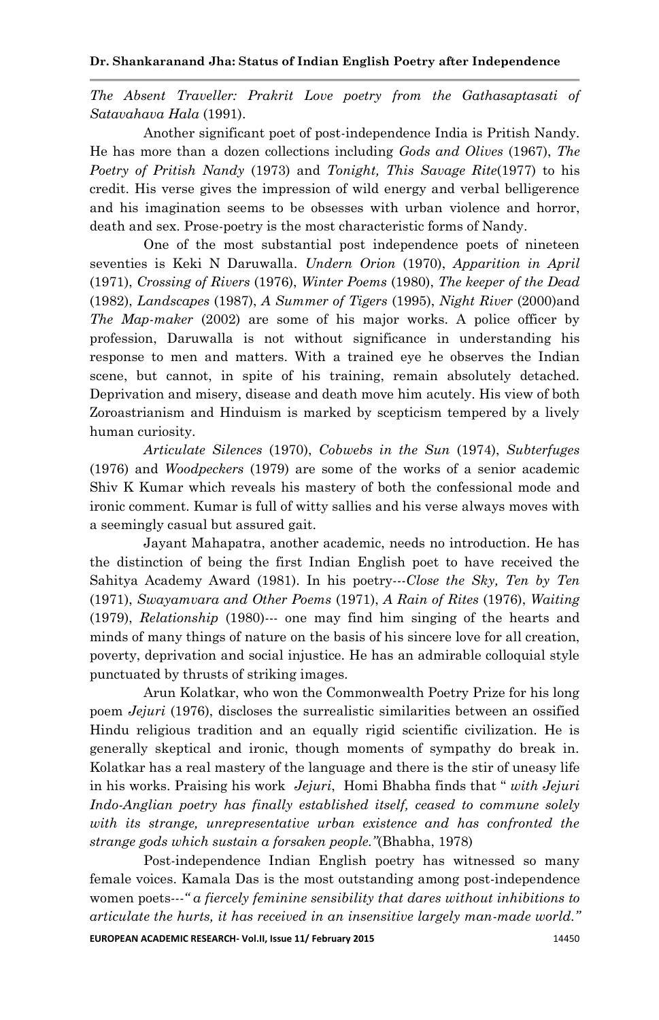#### **Dr. Shankaranand Jha: Status of Indian English Poetry after Independence**

*The Absent Traveller: Prakrit Love poetry from the Gathasaptasati of Satavahava Hala* (1991).

Another significant poet of post-independence India is Pritish Nandy. He has more than a dozen collections including *Gods and Olives* (1967), *The Poetry of Pritish Nandy* (1973) and *Tonight, This Savage Rite*(1977) to his credit. His verse gives the impression of wild energy and verbal belligerence and his imagination seems to be obsesses with urban violence and horror, death and sex. Prose-poetry is the most characteristic forms of Nandy.

One of the most substantial post independence poets of nineteen seventies is Keki N Daruwalla. *Undern Orion* (1970), *Apparition in April* (1971), *Crossing of Rivers* (1976), *Winter Poems* (1980), *The keeper of the Dead* (1982), *Landscapes* (1987), *A Summer of Tigers* (1995), *Night River* (2000)and *The Map-maker* (2002) are some of his major works. A police officer by profession, Daruwalla is not without significance in understanding his response to men and matters. With a trained eye he observes the Indian scene, but cannot, in spite of his training, remain absolutely detached. Deprivation and misery, disease and death move him acutely. His view of both Zoroastrianism and Hinduism is marked by scepticism tempered by a lively human curiosity.

*Articulate Silences* (1970), *Cobwebs in the Sun* (1974), *Subterfuges* (1976) and *Woodpeckers* (1979) are some of the works of a senior academic Shiv K Kumar which reveals his mastery of both the confessional mode and ironic comment. Kumar is full of witty sallies and his verse always moves with a seemingly casual but assured gait.

Jayant Mahapatra, another academic, needs no introduction. He has the distinction of being the first Indian English poet to have received the Sahitya Academy Award (1981). In his poetry---*Close the Sky, Ten by Ten* (1971), *Swayamvara and Other Poems* (1971), *A Rain of Rites* (1976), *Waiting* (1979), *Relationship* (1980)--- one may find him singing of the hearts and minds of many things of nature on the basis of his sincere love for all creation, poverty, deprivation and social injustice. He has an admirable colloquial style punctuated by thrusts of striking images.

Arun Kolatkar, who won the Commonwealth Poetry Prize for his long poem *Jejuri* (1976), discloses the surrealistic similarities between an ossified Hindu religious tradition and an equally rigid scientific civilization. He is generally skeptical and ironic, though moments of sympathy do break in. Kolatkar has a real mastery of the language and there is the stir of uneasy life in his works. Praising his work *Jejuri*, Homi Bhabha finds that " *with Jejuri Indo-Anglian poetry has finally established itself, ceased to commune solely with its strange, unrepresentative urban existence and has confronted the strange gods which sustain a forsaken people."*(Bhabha, 1978)

Post-independence Indian English poetry has witnessed so many female voices. Kamala Das is the most outstanding among post-independence women poets*---" a fiercely feminine sensibility that dares without inhibitions to articulate the hurts, it has received in an insensitive largely man-made world."*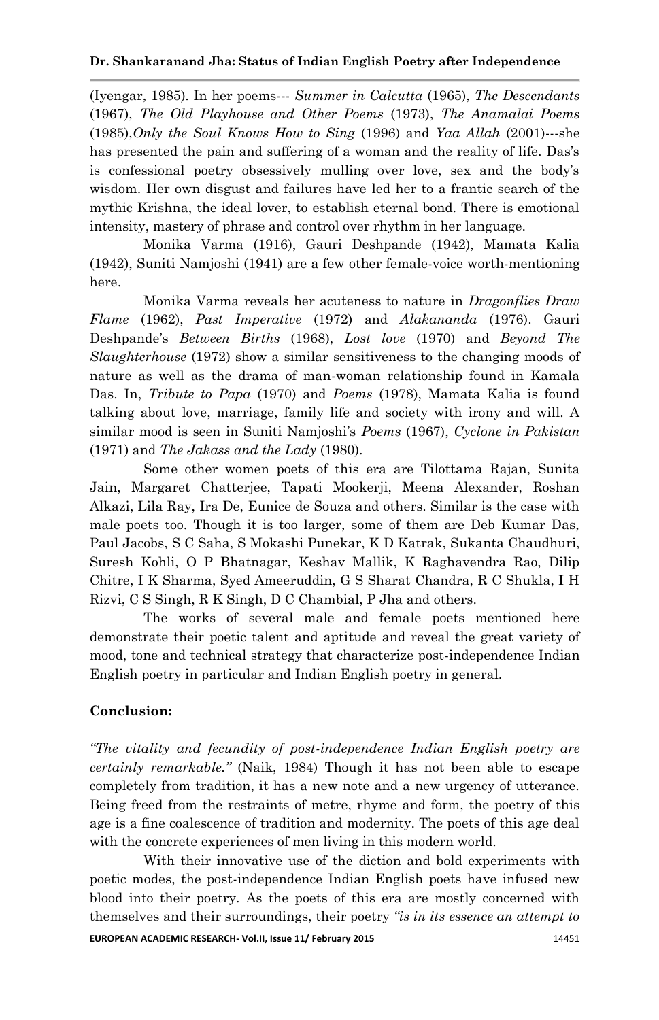(Iyengar, 1985). In her poems--- *Summer in Calcutta* (1965), *The Descendants* (1967), *The Old Playhouse and Other Poems* (1973), *The Anamalai Poems* (1985),*Only the Soul Knows How to Sing* (1996) and *Yaa Allah* (2001)---she has presented the pain and suffering of a woman and the reality of life. Das's is confessional poetry obsessively mulling over love, sex and the body"s wisdom. Her own disgust and failures have led her to a frantic search of the mythic Krishna, the ideal lover, to establish eternal bond. There is emotional intensity, mastery of phrase and control over rhythm in her language.

Monika Varma (1916), Gauri Deshpande (1942), Mamata Kalia (1942), Suniti Namjoshi (1941) are a few other female-voice worth-mentioning here.

Monika Varma reveals her acuteness to nature in *Dragonflies Draw Flame* (1962), *Past Imperative* (1972) and *Alakananda* (1976). Gauri Deshpande"s *Between Births* (1968), *Lost love* (1970) and *Beyond The Slaughterhouse* (1972) show a similar sensitiveness to the changing moods of nature as well as the drama of man-woman relationship found in Kamala Das. In, *Tribute to Papa* (1970) and *Poems* (1978), Mamata Kalia is found talking about love, marriage, family life and society with irony and will. A similar mood is seen in Suniti Namjoshi"s *Poems* (1967), *Cyclone in Pakistan* (1971) and *The Jakass and the Lady* (1980).

Some other women poets of this era are Tilottama Rajan, Sunita Jain, Margaret Chatterjee, Tapati Mookerji, Meena Alexander, Roshan Alkazi, Lila Ray, Ira De, Eunice de Souza and others. Similar is the case with male poets too. Though it is too larger, some of them are Deb Kumar Das, Paul Jacobs, S C Saha, S Mokashi Punekar, K D Katrak, Sukanta Chaudhuri, Suresh Kohli, O P Bhatnagar, Keshav Mallik, K Raghavendra Rao, Dilip Chitre, I K Sharma, Syed Ameeruddin, G S Sharat Chandra, R C Shukla, I H Rizvi, C S Singh, R K Singh, D C Chambial, P Jha and others.

The works of several male and female poets mentioned here demonstrate their poetic talent and aptitude and reveal the great variety of mood, tone and technical strategy that characterize post-independence Indian English poetry in particular and Indian English poetry in general.

## **Conclusion:**

*"The vitality and fecundity of post-independence Indian English poetry are certainly remarkable."* (Naik, 1984) Though it has not been able to escape completely from tradition, it has a new note and a new urgency of utterance. Being freed from the restraints of metre, rhyme and form, the poetry of this age is a fine coalescence of tradition and modernity. The poets of this age deal with the concrete experiences of men living in this modern world.

With their innovative use of the diction and bold experiments with poetic modes, the post-independence Indian English poets have infused new blood into their poetry. As the poets of this era are mostly concerned with themselves and their surroundings, their poetry *"is in its essence an attempt to*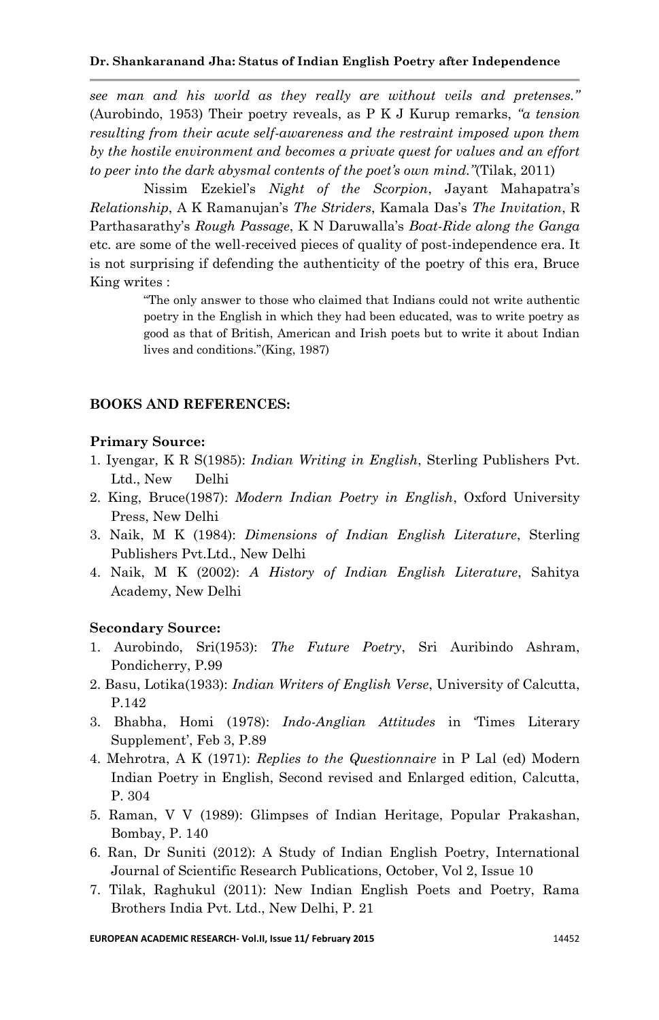*see man and his world as they really are without veils and pretenses."*  (Aurobindo, 1953) Their poetry reveals, as P K J Kurup remarks, *"a tension resulting from their acute self-awareness and the restraint imposed upon them by the hostile environment and becomes a private quest for values and an effort to peer into the dark abysmal contents of the poet"s own mind."*(Tilak, 2011)

Nissim Ezekiel"s *Night of the Scorpion*, Jayant Mahapatra"s *Relationship*, A K Ramanujan"s *The Striders*, Kamala Das"s *The Invitation*, R Parthasarathy"s *Rough Passage*, K N Daruwalla"s *Boat-Ride along the Ganga* etc. are some of the well-received pieces of quality of post-independence era. It is not surprising if defending the authenticity of the poetry of this era, Bruce King writes :

> "The only answer to those who claimed that Indians could not write authentic poetry in the English in which they had been educated, was to write poetry as good as that of British, American and Irish poets but to write it about Indian lives and conditions."(King, 1987)

### **BOOKS AND REFERENCES:**

#### **Primary Source:**

- 1. Iyengar, K R S(1985): *Indian Writing in English*, Sterling Publishers Pvt. Ltd., New Delhi
- 2. King, Bruce(1987): *Modern Indian Poetry in English*, Oxford University Press, New Delhi
- 3. Naik, M K (1984): *Dimensions of Indian English Literature*, Sterling Publishers Pvt.Ltd., New Delhi
- 4. Naik, M K (2002): *A History of Indian English Literature*, Sahitya Academy, New Delhi

#### **Secondary Source:**

- 1. Aurobindo, Sri(1953): *The Future Poetry*, Sri Auribindo Ashram, Pondicherry, P.99
- 2. Basu, Lotika(1933): *Indian Writers of English Verse*, University of Calcutta, P.142
- 3. Bhabha, Homi (1978): *Indo-Anglian Attitudes* in "Times Literary Supplement', Feb 3, P.89
- 4. Mehrotra, A K (1971): *Replies to the Questionnaire* in P Lal (ed) Modern Indian Poetry in English, Second revised and Enlarged edition, Calcutta, P. 304
- 5. Raman, V V (1989): Glimpses of Indian Heritage, Popular Prakashan, Bombay, P. 140
- 6. Ran, Dr Suniti (2012): A Study of Indian English Poetry, International Journal of Scientific Research Publications, October, Vol 2, Issue 10
- 7. Tilak, Raghukul (2011): New Indian English Poets and Poetry, Rama Brothers India Pvt. Ltd., New Delhi, P. 21